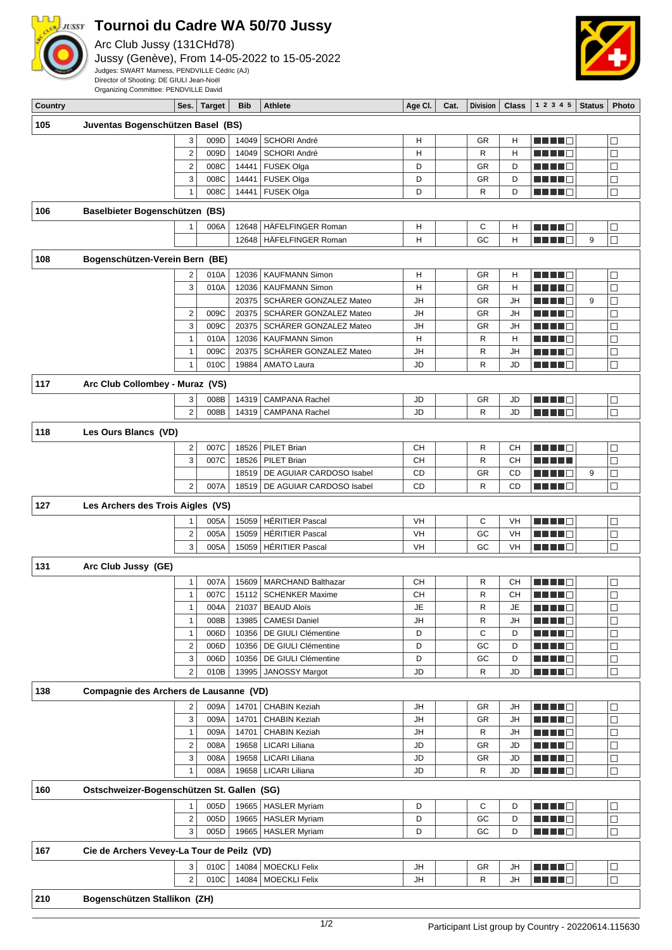

## **Tournoi du Cadre WA 50/70 Jussy**

Arc Club Jussy (131CHd78)

Jussy (Genève), From 14-05-2022 to 15-05-2022 Judges: SWART Marness, PENDVILLE Cédric (AJ) Director of Shooting: DE GIULI Jean-Noël



Organizing Committee: PENDVILLE David

| Country |                                            |                         | Ses.   Target | Bib            | <b>Athlete</b>                               | Age Cl.   | Cat. | Division | Class     | 12345                               | <b>Status</b> | <b>Photo</b>     |
|---------|--------------------------------------------|-------------------------|---------------|----------------|----------------------------------------------|-----------|------|----------|-----------|-------------------------------------|---------------|------------------|
| 105     | Juventas Bogenschützen Basel (BS)          |                         |               |                |                                              |           |      |          |           |                                     |               |                  |
|         |                                            | 3                       | 009D          | 14049          | SCHORI André                                 | Н         |      | GR       | Н         | n nin d                             |               | $\Box$           |
|         |                                            | $\overline{2}$          | 009D          | 14049          | SCHORI André                                 | Н         |      | R        | H         | HH 1                                |               | $\Box$           |
|         |                                            | $\overline{2}$          | 008C          | 14441          | <b>FUSEK Olga</b>                            | D         |      | GR       | D         |                                     |               | $\Box$           |
|         |                                            | 3                       | 008C          | 14441          | FUSEK Olga                                   | D         |      | GR       | D         |                                     |               | $\Box$           |
|         |                                            | $\mathbf{1}$            | 008C          | 14441          | FUSEK Olga                                   | D         |      | R        | D         | ma matsa                            |               | $\Box$           |
| 106     | Baselbieter Bogenschützen (BS)             |                         |               |                |                                              |           |      |          |           |                                     |               |                  |
|         |                                            |                         |               |                |                                              |           |      |          |           |                                     |               |                  |
|         |                                            | 1                       | 006A          | 12648          | HÄFELFINGER Roman<br>HÄFELFINGER Roman       | Н         |      | С        | н         | .                                   |               | $\Box$           |
|         |                                            |                         |               | 12648          |                                              | H         |      | GC       | H         |                                     | 9             | $\Box$           |
| 108     | Bogenschützen-Verein Bern (BE)             |                         |               |                |                                              |           |      |          |           |                                     |               |                  |
|         |                                            | 2                       | 010A          | 12036          | <b>KAUFMANN Simon</b>                        | Н         |      | GR       | Н         |                                     |               | □                |
|         |                                            | 3                       | 010A          | 12036          | <b>KAUFMANN Simon</b>                        | Н         |      | GR       | Н         |                                     |               | $\Box$           |
|         |                                            |                         |               | 20375          | SCHÄRER GONZALEZ Mateo                       | JH        |      | GR       | JH        | l E                                 | 9             | $\Box$           |
|         |                                            | $\overline{\mathbf{c}}$ | 009C          | 20375          | SCHÄRER GONZALEZ Mateo                       | JH        |      | GR       | JH        |                                     |               | $\Box$           |
|         |                                            | 3                       | 009C          | 20375          | SCHÄRER GONZALEZ Mateo                       | JH        |      | GR       | <b>JH</b> |                                     |               | $\Box$           |
|         |                                            | $\mathbf{1}$            | 010A          | 12036          | <b>KAUFMANN Simon</b>                        | Н         |      | R        | Н         |                                     |               | $\Box$           |
|         |                                            | $\mathbf{1}$            | 009C          | 20375          | SCHÄRER GONZALEZ Mateo                       | <b>JH</b> |      | R        | JH        | ME NO O                             |               | $\Box$           |
|         |                                            | 1                       | 010C          | 19884          | <b>AMATO Laura</b>                           | JD        |      | R        | JD        |                                     |               | $\Box$           |
| 117     | Arc Club Collombey - Muraz (VS)            |                         |               |                |                                              |           |      |          |           |                                     |               |                  |
|         |                                            | 3                       | 008B          | 14319          | <b>CAMPANA Rachel</b>                        | JD        |      | GR       | JD        |                                     |               | □                |
|         |                                            | $\overline{2}$          | 008B          | 14319          | <b>CAMPANA Rachel</b>                        | JD        |      | R        | JD        | n di Ti                             |               | $\Box$           |
| 118     | Les Ours Blancs (VD)                       |                         |               |                |                                              |           |      |          |           |                                     |               |                  |
|         |                                            | 2                       | 007C          | 18526          | PILET Brian                                  | <b>CH</b> |      | R        | <b>CH</b> | ______                              |               | $\Box$           |
|         |                                            | 3                       | 007C          | 18526          | PILET Brian                                  | <b>CH</b> |      | R        | CН        | .                                   |               | $\Box$           |
|         |                                            |                         |               | 18519          | DE AGUIAR CARDOSO Isabel                     | CD        |      | GR       | CD        | ma mata                             | 9             | $\Box$           |
|         |                                            | $\overline{2}$          | 007A          | 18519          | DE AGUIAR CARDOSO Isabel                     | <b>CD</b> |      | R        | CD        | n i Titulia                         |               | $\Box$           |
| 127     |                                            |                         |               |                |                                              |           |      |          |           |                                     |               |                  |
|         | Les Archers des Trois Aigles (VS)          |                         |               |                |                                              |           |      |          |           |                                     |               |                  |
|         |                                            | 1                       | 005A          | 15059          | <b>HÉRITIER Pascal</b>                       | VH        |      | C        | VH        | MA MA W                             |               | $\Box$           |
|         |                                            | $\overline{c}$          | 005A          | 15059          | <b>HÉRITIER Pascal</b>                       | VH        |      | GC       | VH        | 88 H H H H                          |               | $\Box$           |
|         |                                            | 3                       | 005A          | 15059          | <b>HÉRITIER Pascal</b>                       | <b>VH</b> |      | GC       | VH        | n di Tingg                          |               | $\Box$           |
| 131     | Arc Club Jussy (GE)                        |                         |               |                |                                              |           |      |          |           |                                     |               |                  |
|         |                                            | $\mathbf{1}$            | 007A          | 15609          | <b>MARCHAND Balthazar</b>                    | CН        |      | R        | CН        | n i Timbr                           |               | $\Box$           |
|         |                                            | $\mathbf{1}$            | 007C          |                | 15112   SCHENKER Maxime                      | <b>CH</b> |      | R        | <b>CH</b> | n in Fil                            |               | □                |
|         |                                            | $\mathbf{1}$            | 004A          |                | 21037 BEAUD Aloïs                            | JE        |      | R        | JE        | <b>REBEC</b>                        |               | õ                |
|         |                                            | $\mathbf{1}$            | 008B          | 13985          | <b>CAMESI Daniel</b>                         | JH        |      | R        | JH        | <u> Henri B</u>                     |               | $\Box$           |
|         |                                            | 1                       | 006D          | 10356          | DE GIULI Clémentine                          | D         |      | С        | D         | <u> Literatur</u>                   |               | $\Box$           |
|         |                                            | $\overline{\mathbf{c}}$ | 006D          | 10356          | DE GIULI Clémentine                          | D         |      | GC       | D         | <u> Literatur</u>                   |               | $\Box$           |
|         |                                            | 3                       | 006D          | 10356          | DE GIULI Clémentine                          | D         |      | GC       | D         |                                     |               | $\Box$           |
|         |                                            | 2                       | 010B          | 13995          | JANOSSY Margot                               | JD        |      | R        | JD        | <u> La La La</u>                    |               | $\Box$           |
| 138     | Compagnie des Archers de Lausanne (VD)     |                         |               |                |                                              |           |      |          |           |                                     |               |                  |
|         |                                            | 2                       | 009A          | 14701          | <b>CHABIN Keziah</b>                         | JH        |      | GR       | JH        | <u> Literatur</u>                   |               | $\Box$           |
|         |                                            | 3                       | 009A          | 14701          | <b>CHABIN Keziah</b>                         | JH        |      | GR       | JH        | Martin Mar                          |               | $\Box$           |
|         |                                            | $\mathbf{1}$            | 009A          | 14701          | <b>CHABIN Keziah</b>                         | JH        |      | R        | JH        | <u> Literatur</u>                   |               | $\Box$           |
|         |                                            | 2                       | 008A          | 19658          | LICARI Liliana                               | JD        |      | GR       | JD        |                                     |               | $\Box$           |
|         |                                            | 3                       | 008A          | 19658          | LICARI Liliana                               | JD        |      | GR       | JD        | ME HEL                              |               | $\Box$           |
|         |                                            | 1                       | 008A          | 19658          | <b>LICARI Liliana</b>                        | JD        |      | R        | JD        | n in Fil                            |               | $\Box$           |
| 160     | Ostschweizer-Bogenschützen St. Gallen (SG) |                         |               |                |                                              |           |      |          |           |                                     |               |                  |
|         |                                            |                         | 005D          | 19665          | <b>HASLER Myriam</b>                         | D         |      | С        | D         | M M M M M                           |               | $\Box$           |
|         |                                            | $\overline{\mathbf{c}}$ | 005D          | 19665          | <b>HASLER Myriam</b>                         | D         |      | GC       | D         | n di Tinggi                         |               | $\Box$           |
|         |                                            | 3                       | 005D          |                | 19665   HASLER Myriam                        | D         |      | GC       | D         | n din din ka                        |               | $\Box$           |
|         |                                            |                         |               |                |                                              |           |      |          |           |                                     |               |                  |
| 167     | Cie de Archers Vevey-La Tour de Peilz (VD) |                         |               |                |                                              |           |      |          |           |                                     |               |                  |
|         |                                            | 3<br>$\overline{2}$     | 010C<br>010C  | 14084<br>14084 | <b>MOECKLI Felix</b><br><b>MOECKLI Felix</b> | JH<br>JH  |      | GR<br>R  | JH<br>JH  | <u> Literatur C</u><br>n din din ka |               | $\Box$<br>$\Box$ |
|         |                                            |                         |               |                |                                              |           |      |          |           |                                     |               |                  |
| 210     | Bogenschützen Stallikon (ZH)               |                         |               |                |                                              |           |      |          |           |                                     |               |                  |